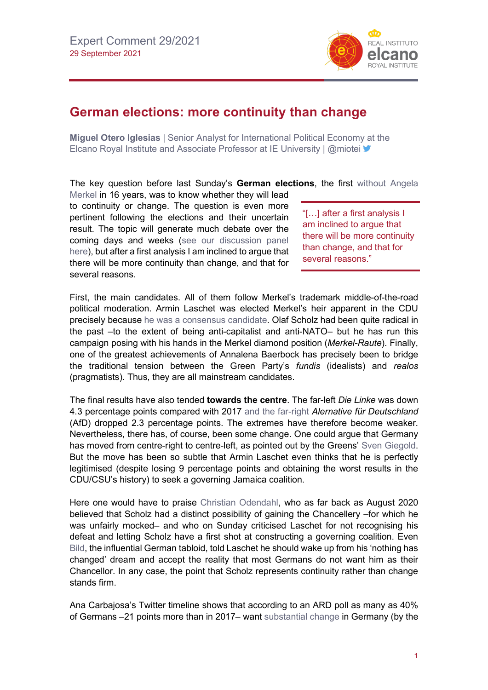

## **German elections: more continuity than change**

**Miguel Otero Iglesias** | Senior Analyst for International Political Economy at the Elcano Royal Institute and Associate Professor at IE University | @miotei

The key question before last Sunday's **German elections**, the first [without Angela](https://blog.realinstitutoelcano.org/en/no-merkel-europes-opportunity/) 

[Merkel](https://blog.realinstitutoelcano.org/en/no-merkel-europes-opportunity/) in 16 years, was to know whether they will lead to continuity or change. The question is even more pertinent following the elections and their uncertain result. The topic will generate much debate over the coming days and weeks [\(see our discussion panel](http://www.realinstitutoelcano.org/wps/portal/rielcano_en/event?WCM_GLOBAL_CONTEXT=/elcano/elcano_in/calendar/activities/debates-elcano-post-merkel-germany-continuity-or-change)  [here\)](http://www.realinstitutoelcano.org/wps/portal/rielcano_en/event?WCM_GLOBAL_CONTEXT=/elcano/elcano_in/calendar/activities/debates-elcano-post-merkel-germany-continuity-or-change), but after a first analysis I am inclined to argue that there will be more continuity than change, and that for several reasons.

"[…] after a first analysis I am inclined to argue that there will be more continuity than change, and that for several reasons."

First, the main candidates. All of them follow Merkel's trademark middle-of-the-road political moderation. Armin Laschet was elected Merkel's heir apparent in the CDU precisely because [he was a consensus candidate.](https://blog.realinstitutoelcano.org/la-cdu-de-armin-laschet-se-ancla-al-centro-del-tablero-politico/) Olaf Scholz had been quite radical in the past –to the extent of being anti-capitalist and anti-NATO– but he has run this campaign posing with his hands in the Merkel diamond position (*Merkel-Raute*). Finally, one of the greatest achievements of Annalena Baerbock has precisely been to bridge the traditional tension between the Green Party's *fundis* (idealists) and *realos*  (pragmatists). Thus, they are all mainstream candidates.

The final results have also tended **towards the centre**. The far-left *Die Linke* was down 4.3 percentage points compared with 2017 [and the far-right](https://blog.realinstitutoelcano.org/en/germany-shifting-to-the-right/) *Alernative für Deutschland* (AfD) dropped 2.3 percentage points. The extremes have therefore become weaker. Nevertheless, there has, of course, been some change. One could argue that Germany has moved from centre-right to centre-left, as pointed out by the Greens' [Sven Giegold.](https://twitter.com/sven_giegold/status/1442162708388847621?s=20) But the move has been so subtle that Armin Laschet even thinks that he is perfectly legitimised (despite losing 9 percentage points and obtaining the worst results in the CDU/CSU's history) to seek a governing Jamaica coalition.

Here one would have to praise [Christian Odendahl,](https://twitter.com/COdendahl/status/1442421517380317189?s=20) who as far back as August 2020 believed that Scholz had a distinct possibility of gaining the Chancellery –for which he was unfairly mocked– and who on Sunday criticised Laschet for not recognising his defeat and letting Scholz have a first shot at constructing a governing coalition. Even [Bild,](https://twitter.com/COdendahl/status/1442398314243117059?s=20) the influential German tabloid, told Laschet he should wake up from his 'nothing has changed' dream and accept the reality that most Germans do not want him as their Chancellor. In any case, the point that Scholz represents continuity rather than change stands firm.

Ana Carbajosa's Twitter timeline shows that according to an ARD poll as many as 40% of Germans –21 points more than in 2017– want [substantial change](https://twitter.com/adam_tooze/status/1442208966918950916?s=20) in Germany (by the